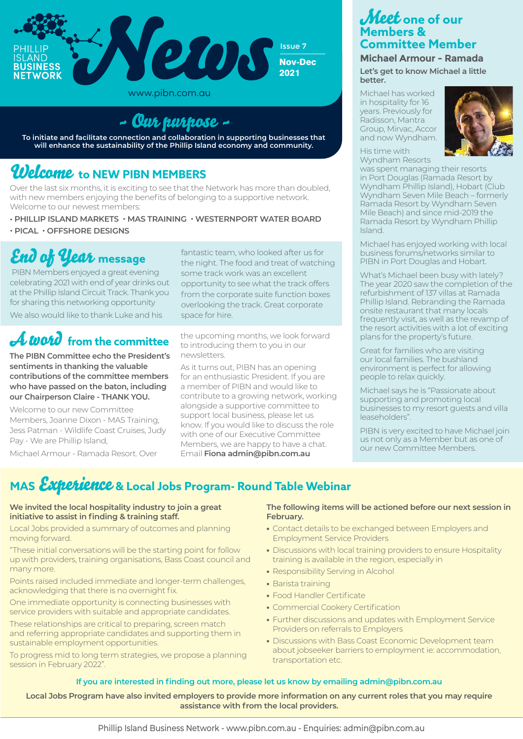

www.pibn.com.au

# ~ Our purpose ~

**To initiate and facilitate connection and collaboration in supporting businesses that will enhance the sustainability of the Phillip Island economy and community.**

# Welcome **to NEW PIBN MEMBERS**

Over the last six months, it is exciting to see that the Network has more than doubled, with new members enjoying the benefits of belonging to a supportive network. Welcome to our newest members:

- **PHILLIP ISLAND MARKETS MAS TRAINING WESTERNPORT WATER BOARD**
- **PICAL OFFSHORE DESIGNS**

# End of Year **message**

 PIBN Members enjoyed a great evening celebrating 2021 with end of year drinks out at the Phillip Island Circuit Track. Thank you for sharing this networking opportunity We also would like to thank Luke and his

# A word **from the committee**

**The PIBN Committee echo the President's sentiments in thanking the valuable contributions of the committee members who have passed on the baton, including our Chairperson Claire - THANK YOU.**

Welcome to our new Committee Members, Joanne Dixon - MAS Training, Jess Patman - Wildlife Coast Cruises, Judy Pay - We are Phillip Island,

Michael Armour - Ramada Resort. Over

fantastic team, who looked after us for the night. The food and treat of watching some track work was an excellent opportunity to see what the track offers from the corporate suite function boxes overlooking the track. Great corporate space for hire.

the upcoming months, we look forward to introducing them to you in our newsletters.

As it turns out, PIBN has an opening for an enthusiastic President. If you are a member of PIBN and would like to contribute to a growing network, working alongside a supportive committee to support local business, please let us know. If you would like to discuss the role with one of our Executive Committee Members, we are happy to have a chat. Email **Fiona admin@pibn.com.au**

## Meet **one of our Members & Committee Member**

**Michael Armour - Ramada Let's get to know Michael a little better.**

Michael has worked in hospitality for 16 years. Previously for Radisson, Mantra Group, Mirvac, Accor and now Wyndham.



#### His time with Wyndham Resorts

was spent managing their resorts in Port Douglas (Ramada Resort by Wyndham Phillip Island), Hobart (Club Wyndham Seven Mile Beach – formerly Ramada Resort by Wyndham Seven Mile Beach) and since mid-2019 the Ramada Resort by Wyndham Phillip Island.

Michael has enjoyed working with local business forums/networks similar to PIBN in Port Douglas and Hobart.

What's Michael been busy with lately? The year 2020 saw the completion of the refurbishment of 137 villas at Ramada Phillip Island. Rebranding the Ramada onsite restaurant that many locals frequently visit, as well as the revamp of the resort activities with a lot of exciting plans for the property's future.

Great for families who are visiting our local families. The bushland environment is perfect for allowing people to relax quickly.

Michael says he is "Passionate about supporting and promoting local businesses to my resort guests and villa leaseholders".

PIBN is very excited to have Michael join us not only as a Member but as one of our new Committee Members.

# **MAS** Experience **& Local Jobs Program- Round Table Webinar**

#### **We invited the local hospitality industry to join a great initiative to assist in finding & training staff.**

Local Jobs provided a summary of outcomes and planning moving forward.

"These initial conversations will be the starting point for follow up with providers, training organisations, Bass Coast council and many more.

Points raised included immediate and longer-term challenges, acknowledging that there is no overnight fix.

One immediate opportunity is connecting businesses with service providers with suitable and appropriate candidates.

These relationships are critical to preparing, screen match and referring appropriate candidates and supporting them in sustainable employment opportunities.

To progress mid to long term strategies, we propose a planning session in February 2022".

### **The following items will be actioned before our next session in February.**

- **•** Contact details to be exchanged between Employers and Employment Service Providers
- **•** Discussions with local training providers to ensure Hospitality training is available in the region, especially in
- **•** Responsibility Serving in Alcohol
- **•** Barista training
- **•** Food Handler Certificate
- **•** Commercial Cookery Certification
- **•** Further discussions and updates with Employment Service Providers on referrals to Employers
- **•** Discussions with Bass Coast Economic Development team about jobseeker barriers to employment ie: accommodation, transportation etc.

## **If you are interested in finding out more, please let us know by emailing admin@pibn.com.au**

**Local Jobs Program have also invited employers to provide more information on any current roles that you may require assistance with from the local providers.**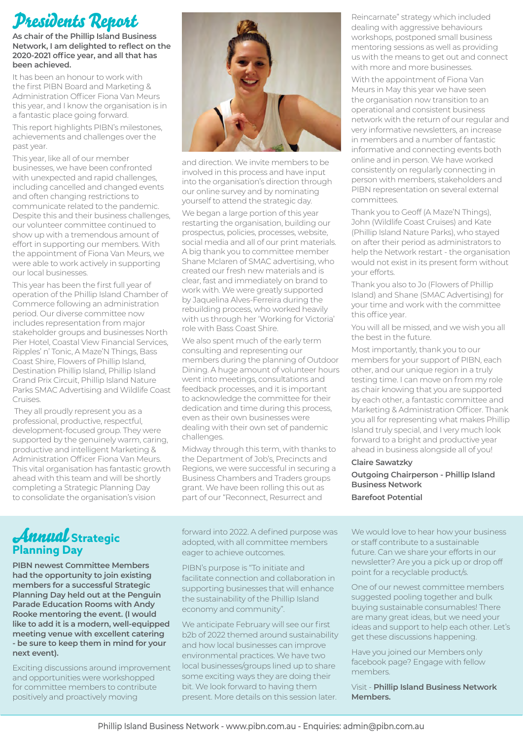# Presidents Report

**As chair of the Phillip Island Business Network, I am delighted to reflect on the 2020-2021 office year, and all that has been achieved.**

It has been an honour to work with the first PIBN Board and Marketing & Administration Officer Fiona Van Meurs this year, and I know the organisation is in a fantastic place going forward.

This report highlights PIBN's milestones, achievements and challenges over the past year.

This year, like all of our member businesses, we have been confronted with unexpected and rapid challenges, including cancelled and changed events and often changing restrictions to communicate related to the pandemic. Despite this and their business challenges, our volunteer committee continued to show up with a tremendous amount of effort in supporting our members. With the appointment of Fiona Van Meurs, we were able to work actively in supporting our local businesses.

This year has been the first full year of operation of the Phillip Island Chamber of Commerce following an administration period. Our diverse committee now includes representation from major stakeholder groups and businesses North Pier Hotel, Coastal View Financial Services, Ripples' n' Tonic, A Maze'N Things, Bass Coast Shire, Flowers of Phillip Island, Destination Phillip Island, Phillip Island Grand Prix Circuit, Phillip Island Nature Parks SMAC Advertising and Wildlife Coast Cruises.

 They all proudly represent you as a professional, productive, respectful, development-focused group. They were supported by the genuinely warm, caring, productive and intelligent Marketing & Administration Officer Fiona Van Meurs. This vital organisation has fantastic growth ahead with this team and will be shortly completing a Strategic Planning Day to consolidate the organisation's vision



and direction. We invite members to be involved in this process and have input into the organisation's direction through our online survey and by nominating yourself to attend the strategic day. We began a large portion of this year restarting the organisation, building our prospectus, policies, processes, website, social media and all of our print materials. A big thank you to committee member Shane Mclaren of SMAC advertising, who created our fresh new materials and is clear, fast and immediately on brand to work with. We were greatly supported by Jaquelina Alves-Ferreira during the rebuilding process, who worked heavily with us through her 'Working for Victoria' role with Bass Coast Shire.

We also spent much of the early term consulting and representing our members during the planning of Outdoor Dining. A huge amount of volunteer hours went into meetings, consultations and feedback processes, and it is important to acknowledge the committee for their dedication and time during this process, even as their own businesses were dealing with their own set of pandemic challenges.

Midway through this term, with thanks to the Department of Job's, Precincts and Regions, we were successful in securing a Business Chambers and Traders groups grant. We have been rolling this out as part of our "Reconnect, Resurrect and

Reincarnate" strategy which included dealing with aggressive behaviours workshops, postponed small business mentoring sessions as well as providing us with the means to get out and connect with more and more businesses.

With the appointment of Fiona Van Meurs in May this year we have seen the organisation now transition to an operational and consistent business network with the return of our regular and very informative newsletters, an increase in members and a number of fantastic informative and connecting events both online and in person. We have worked consistently on regularly connecting in person with members, stakeholders and PIBN representation on several external committees.

Thank you to Geoff (A Maze'N Things), John (Wildlife Coast Cruises) and Kate (Phillip Island Nature Parks), who stayed on after their period as administrators to help the Network restart - the organisation would not exist in its present form without your efforts.

Thank you also to Jo (Flowers of Phillip Island) and Shane (SMAC Advertising) for your time and work with the committee this office year.

You will all be missed, and we wish you all the best in the future.

Most importantly, thank you to our members for your support of PIBN, each other, and our unique region in a truly testing time. I can move on from my role as chair knowing that you are supported by each other, a fantastic committee and Marketing & Administration Officer. Thank you all for representing what makes Phillip Island truly special, and I very much look forward to a bright and productive year ahead in business alongside all of you!

### **Claire Sawatzky**

**Outgoing Chairperson - Phillip Island Business Network Barefoot Potential** 

# Annual **Strategic Planning Day**

**PIBN newest Committee Members had the opportunity to join existing members for a successful Strategic Planning Day held out at the Penguin Parade Education Rooms with Andy Rooke mentoring the event. (I would like to add it is a modern, well-equipped meeting venue with excellent catering - be sure to keep them in mind for your next event).** 

Exciting discussions around improvement and opportunities were workshopped for committee members to contribute positively and proactively moving

forward into 2022. A defined purpose was adopted, with all committee members eager to achieve outcomes.

PIBN's purpose is "To initiate and facilitate connection and collaboration in supporting businesses that will enhance the sustainability of the Phillip Island economy and community".

We anticipate February will see our first b2b of 2022 themed around sustainability and how local businesses can improve environmental practices. We have two local businesses/groups lined up to share some exciting ways they are doing their bit. We look forward to having them present. More details on this session later.

We would love to hear how your business or staff contribute to a sustainable future. Can we share your efforts in our newsletter? Are you a pick up or drop off point for a recyclable product/s.

One of our newest committee members suggested pooling together and bulk buying sustainable consumables! There are many great ideas, but we need your ideas and support to help each other. Let's get these discussions happening.

Have you joined our Members only facebook page? Engage with fellow members.

Visit - **Phillip Island Business Network Members.**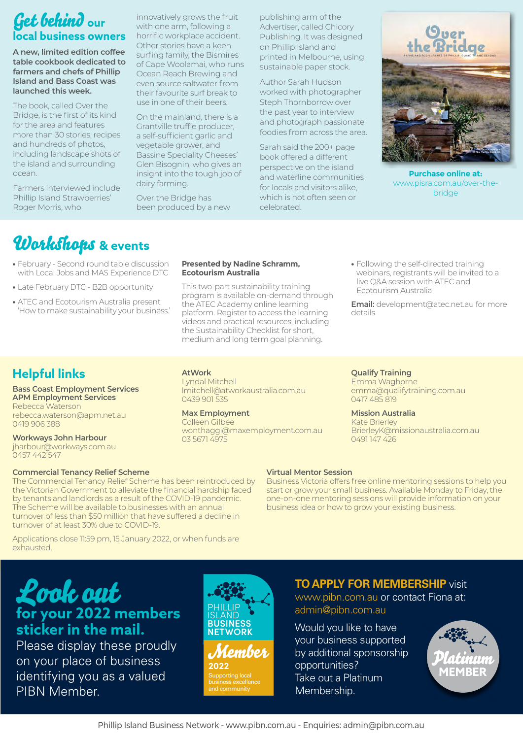# Get behind **our local business owners**

**A new, limited edition coffee table cookbook dedicated to farmers and chefs of Phillip Island and Bass Coast was launched this week.**

The book, called Over the Bridge, is the first of its kind for the area and features more than 30 stories, recipes and hundreds of photos, including landscape shots of the island and surrounding ocean.

Farmers interviewed include Phillip Island Strawberries' Roger Morris, who

innovatively grows the fruit with one arm, following a horrific workplace accident. Other stories have a keen surfing family, the Bismires of Cape Woolamai, who runs Ocean Reach Brewing and even source saltwater from their favourite surf break to use in one of their beers.

On the mainland, there is a Grantville truffle producer, a self-sufficient garlic and vegetable grower, and Bassine Speciality Cheeses' Glen Bisognin, who gives an insight into the tough job of dairy farming.

Over the Bridge has been produced by a new publishing arm of the Advertiser, called Chicory Publishing. It was designed on Phillip Island and printed in Melbourne, using sustainable paper stock.

Author Sarah Hudson worked with photographer Steph Thornborrow over the past year to interview and photograph passionate foodies from across the area.

Sarah said the 200+ page book offered a different perspective on the island and waterline communities for locals and visitors alike, which is not often seen or celebrated.



**Purchase online at:** www.pisra.com.au/over-thebridge

# Workshops **& events**

- **•** February Second round table discussion with Local Jobs and MAS Experience DTC
- **•** Late February DTC B2B opportunity
- **•** ATEC and Ecotourism Australia present 'How to make sustainability your business.'

#### **Presented by Nadine Schramm, Ecotourism Australia**

This two-part sustainability training program is available on-demand through the ATEC Academy online learning platform. Register to access the learning videos and practical resources, including the Sustainability Checklist for short, medium and long term goal planning.

**•** Following the self-directed training webinars, registrants will be invited to a live Q&A session with ATEC and Ecotourism Australia

**Email:** development@atec.net.au for more details

## **Helpful links**

#### **Bass Coast Employment Services APM Employment Services** Rebecca Waterson

rebecca.waterson@apm.net.au 0419 906 388

**Workways John Harbour** jharbour@workways.com.au

## 0457 442 547

turnover of at least 30% due to COVID-19.

#### **Commercial Tenancy Relief Scheme** The Commercial Tenancy Relief Scheme has been reintroduced by the Victorian Government to alleviate the financial hardship faced by tenants and landlords as a result of the COVID-19 pandemic. The Scheme will be available to businesses with an annual turnover of less than \$50 million that have suffered a decline in

## **AtWork**

Lyndal Mitchell lmitchell@atworkaustralia.com.au 0439 901 535

### **Max Employment**

Colleen Gilbee wonthaggi@maxemployment.com.au 03 5671 4975

**Qualify Training** Emma Waghorne emma@qualifytraining.com.au 0417 485 819

#### **Mission Australia** Kate Brierley

BrierleyK@missionaustralia.com.au 0491 147 426

### **Virtual Mentor Session**

Business Victoria offers free online mentoring sessions to help you start or grow your small business. Available Monday to Friday, the one-on-one mentoring sessions will provide information on your business idea or how to grow your existing business.

Applications close 11:59 pm, 15 January 2022, or when funds are exhausted.

# Look out **for your 2022 members sticker in the mail.**

Please display these proudly on your place of business identifying you as a valued PIBN Member.



## **TO APPLY FOR MEMBERSHIP** visit

www.pibn.com.au or contact Fiona at: admin@pibn.com.au

Would you like to have your business supported by additional sponsorship opportunities? Take out a Platinum Membership.